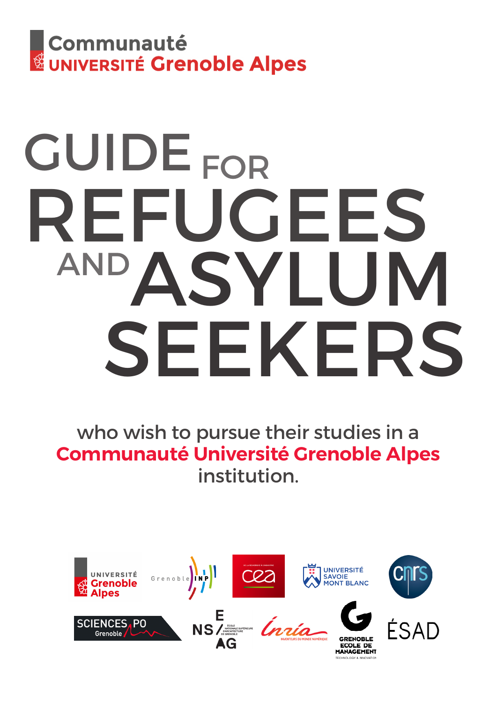

# GUIDE<sub>FOR</sub> REFUGEES<br>AND A CVI TH ASYLUM SEEKERS

who wish to pursue their studies in a **Communauté Université Grenoble Alpes**  institution.

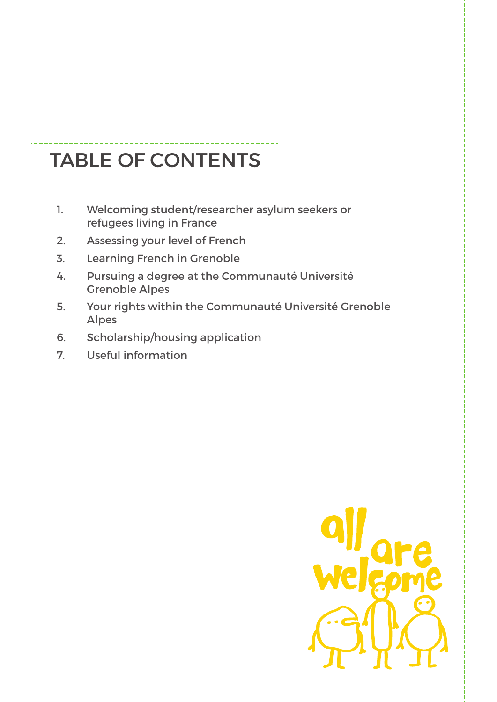# TABLE OF CONTENTS

- 1. Welcoming student/researcher asylum seekers or refugees living in France
- 2. Assessing your level of French
- 3. Learning French in Grenoble
- 4. Pursuing a degree at the Communauté Université Grenoble Alpes
- 5. Your rights within the Communauté Université Grenoble Alpes
- 6. Scholarship/housing application
- 7. Useful information

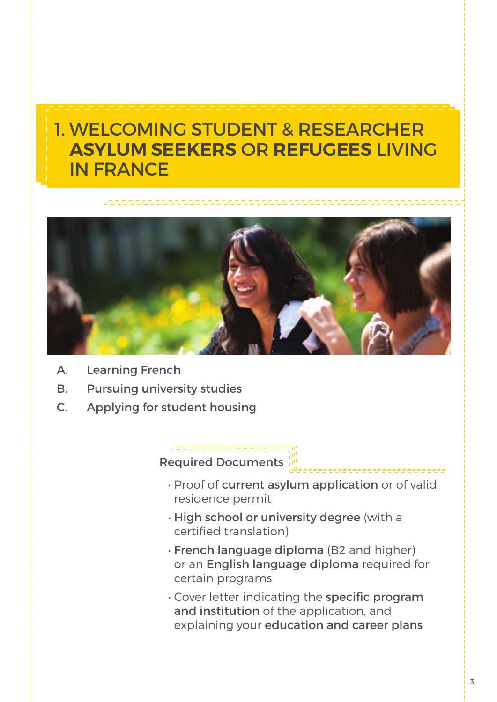## 1. WELCOMING STUDENT & RESEARCHER **ASYLUM SEEKERS** OR **REFUGEES** LIVING IN FRANCE



- A. Learning French
- B. Pursuing university studies
- C. Applying for student housing

#### <u>San dia mandritry ny taona 2008–2014.</u><br>Ny INSEE dia mampiasa ny kaodim-paositra 201469.

Required Documents

• Proof of current asylum application or of valid residence permit

, part part part part p

- High school or university degree (with a certified translation)
- French language diploma (B2 and higher) or an English language diploma required for certain programs
- Cover letter indicating the specific program and institution of the application, and explaining your education and career plans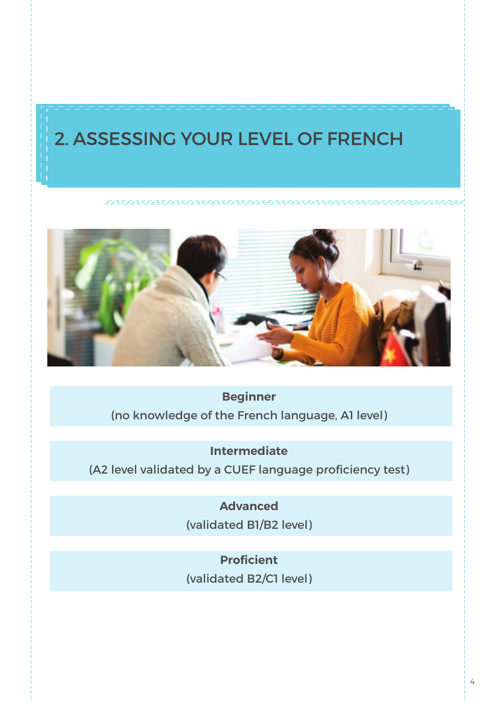## 2. ASSESSING YOUR LEVEL OF FRENCH

#### 



**Beginner** (no knowledge of the French language, A1 level)

**Intermediate**

(A2 level validated by a CUEF language proficiency test)

**Advanced**

(validated B1/B2 level)

**Proficient** (validated B2/C1 level)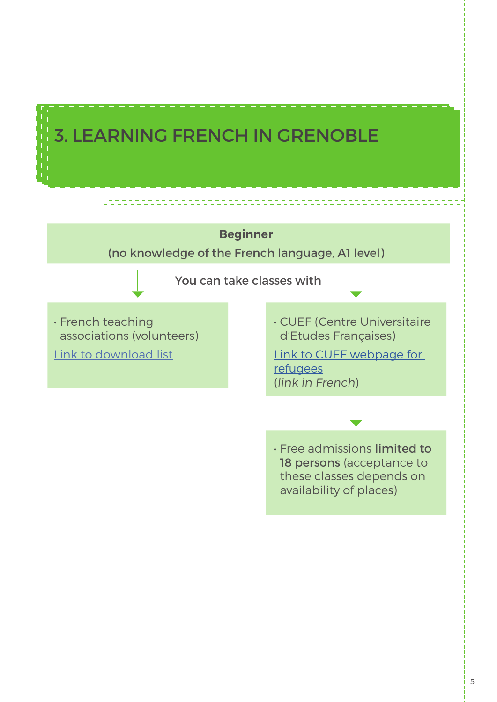## **3. LEARNING FRENCH IN GRENOBLE**

1949 - POLITIK MARKATAN SERIPAKAN SERIPA

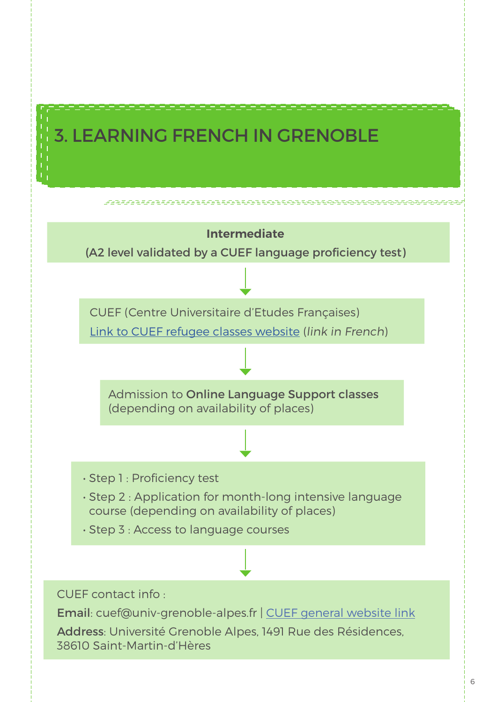## 3. LEARNING FRENCH IN GRENOBLE

<u>is in de la completa de la completa de la com</u>

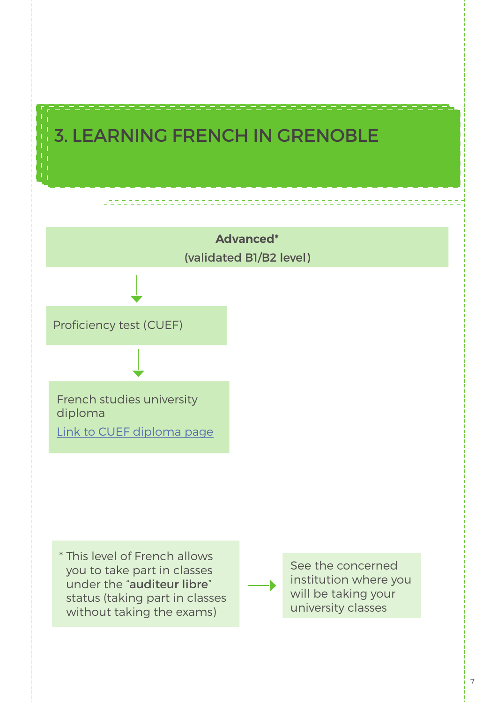## 3. LEARNING FRENCH IN GRENOBLE

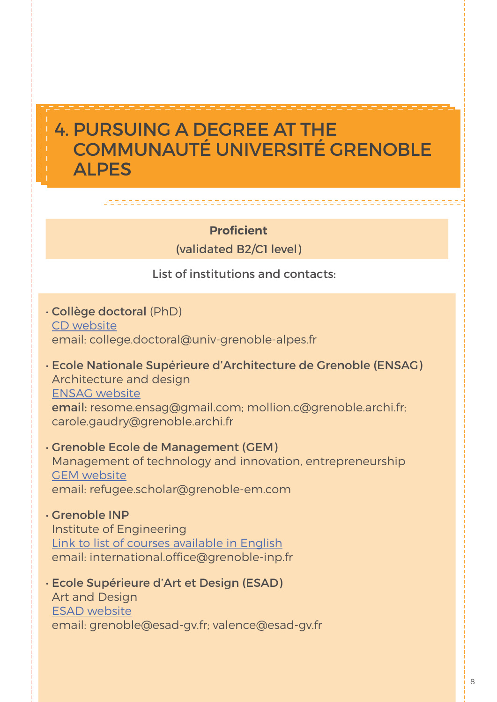### **Proficient**

#### (validated B2/C1 level)

### List of institutions and contacts:

- Collège doctoral (PhD) [CD website](https://doctorat.univ-grenoble-alpes.fr/en/) email: college.doctoral@univ-grenoble-alpes.fr
- Ecole Nationale Supérieure d'Architecture de Grenoble (ENSAG) Architecture and design [ENSAG website](http://www.grenoble.archi.fr/etudes/panorama-general-etudes.php) email: resome.ensag@gmail.com; mollion.c@grenoble.archi.fr; carole.gaudry@grenoble.archi.fr
- Grenoble Ecole de Management (GEM) Management of technology and innovation, entrepreneurship [GEM website](http://www.grenoble-em.com/) email: refugee.scholar@grenoble-em.com
- Grenoble INP Institute of Engineering [Link to list of courses available in English](http://www.grenoble-inp.fr/courses/grenoble-institute-of-technology-courses-in-english-26990.kjsp ) email: international.office@grenoble-inp.fr
- Ecole Supérieure d'Art et Design (ESAD) Art and Design [ESAD website](http://www.esad-gv.fr/fr/) email: grenoble@esad-gv.fr; valence@esad-gv.fr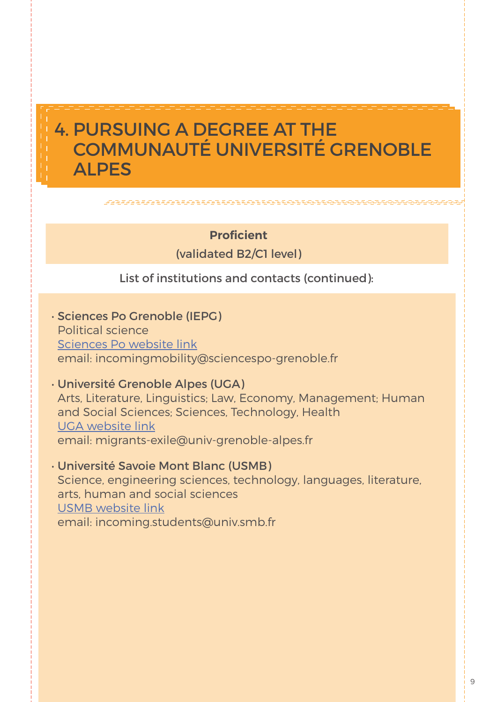#### 

### **Proficient**

(validated B2/C1 level)

List of institutions and contacts (continued):

• Sciences Po Grenoble (IEPG) Political science [Sciences Po webs](http://www.sciencespo-grenoble.fr/formations/entrer-a-sciencespo/)ite link email: incomingmobility@sciencespo-grenoble.fr

• Université Grenoble Alpes (UGA) Arts, Literature, Linguistics; Law, Economy, Management; Human and Social Sciences; Sciences, Technology, Health [UGA website link](http://www.univ-grenoble-alpes.fr/)

email: migrants-exile@univ-grenoble-alpes.fr

• Université Savoie Mont Blanc (USMB) Science, engineering sciences, technology, languages, literature, arts, human and social sciences [USMB website link](https://www.univ-smb.fr/) email: incoming.students@univ.smb.fr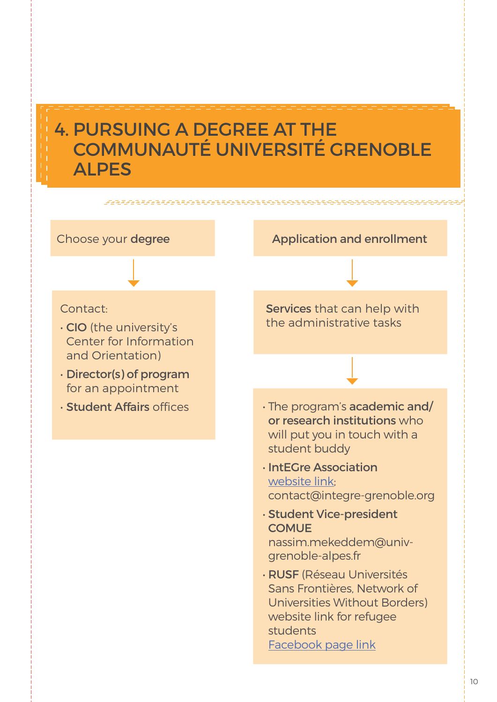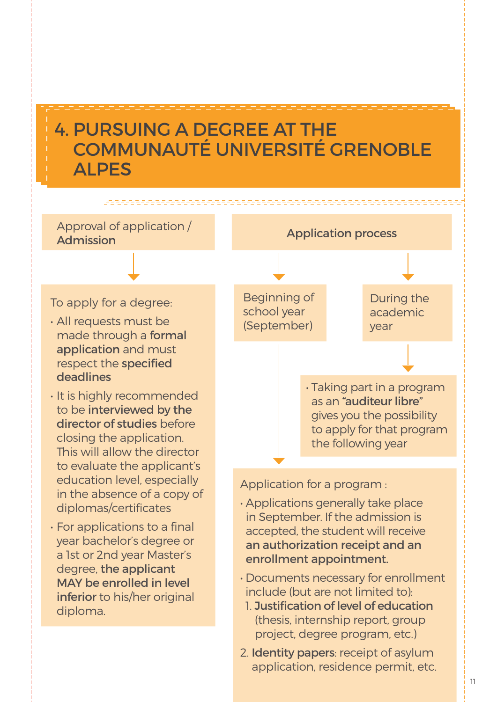<u> 1981 - Fan Bandarík erkur erkur erkur erk</u>

Approval of application / Application application process

#### To apply for a degree:

- All requests must be made through a formal application and must respect the specified deadlines
- It is highly recommended to be interviewed by the director of studies before closing the application. This will allow the director to evaluate the applicant's education level, especially in the absence of a copy of diplomas/certificates
- For applications to a final year bachelor's degree or a 1st or 2nd year Master's degree, the applicant MAY be enrolled in level inferior to his/her original diploma.

Beginning of school year (September) During the academic year • Taking part in a program as an "auditeur libre" gives you the possibility to apply for that program the following year

Application for a program :

- Applications generally take place in September. If the admission is accepted, the student will receive an authorization receipt and an enrollment appointment.
- Documents necessary for enrollment include (but are not limited to):
	- 1. Justification of level of education (thesis, internship report, group project, degree program, etc.)
- 2. Identity papers: receipt of asylum application, residence permit, etc.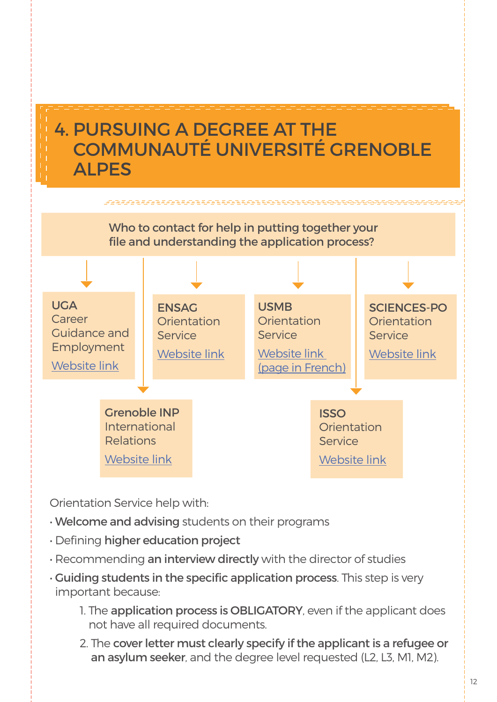

Orientation Service help with:

- Welcome and advising students on their programs
- Defining higher education project
- Recommending an interview directly with the director of studies
- Guiding students in the specific application process. This step is very important because:
	- 1. The application process is OBLIGATORY, even if the applicant does not have all required documents.
	- 2. The cover letter must clearly specify if the applicant is a refugee or an asylum seeker, and the degree level requested (L2, L3, M1, M2).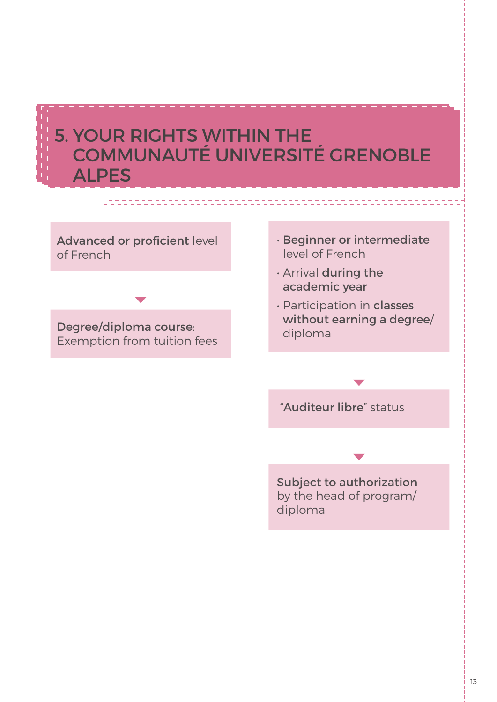## 5. YOUR RIGHTS WITHIN THE COMMUNAUTÉ UNIVERSITÉ GRENOBLE ALPES

## Advanced or proficient level of French

Degree/diploma course: Exemption from tuition fees

- Beginner or intermediate level of French
- Arrival during the academic year
- Participation in classes without earning a degree/ diploma

"Auditeur libre" status

Subject to authorization by the head of program/ diploma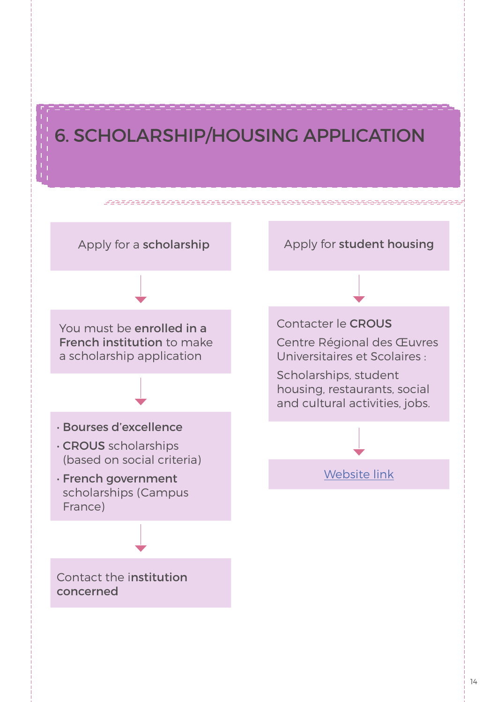## 6. SCHOLARSHIP/HOUSING APPLICATION

u poznatelju poznat